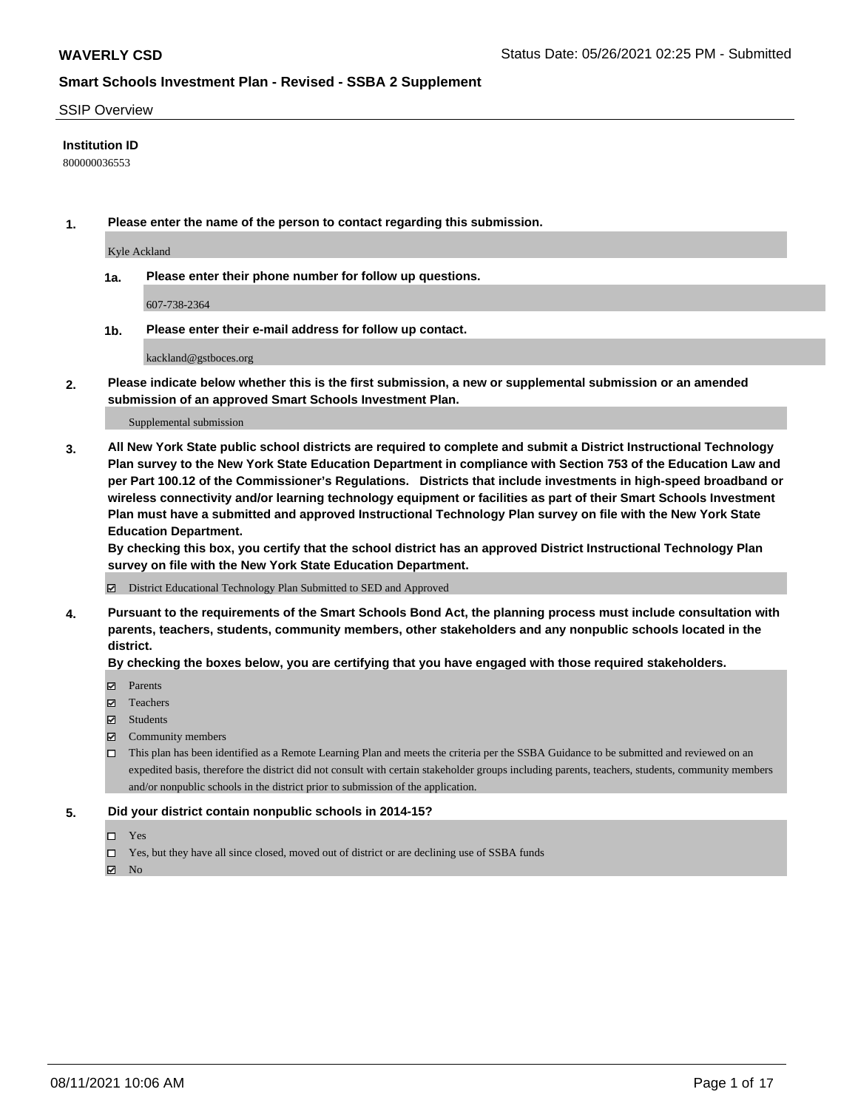#### SSIP Overview

#### **Institution ID**

800000036553

**1. Please enter the name of the person to contact regarding this submission.**

Kyle Ackland

**1a. Please enter their phone number for follow up questions.**

607-738-2364

**1b. Please enter their e-mail address for follow up contact.**

kackland@gstboces.org

**2. Please indicate below whether this is the first submission, a new or supplemental submission or an amended submission of an approved Smart Schools Investment Plan.**

#### Supplemental submission

**3. All New York State public school districts are required to complete and submit a District Instructional Technology Plan survey to the New York State Education Department in compliance with Section 753 of the Education Law and per Part 100.12 of the Commissioner's Regulations. Districts that include investments in high-speed broadband or wireless connectivity and/or learning technology equipment or facilities as part of their Smart Schools Investment Plan must have a submitted and approved Instructional Technology Plan survey on file with the New York State Education Department.** 

**By checking this box, you certify that the school district has an approved District Instructional Technology Plan survey on file with the New York State Education Department.**

District Educational Technology Plan Submitted to SED and Approved

**4. Pursuant to the requirements of the Smart Schools Bond Act, the planning process must include consultation with parents, teachers, students, community members, other stakeholders and any nonpublic schools located in the district.** 

#### **By checking the boxes below, you are certifying that you have engaged with those required stakeholders.**

- **Parents**
- Teachers
- Students
- $\boxtimes$  Community members
- This plan has been identified as a Remote Learning Plan and meets the criteria per the SSBA Guidance to be submitted and reviewed on an expedited basis, therefore the district did not consult with certain stakeholder groups including parents, teachers, students, community members and/or nonpublic schools in the district prior to submission of the application.
- **5. Did your district contain nonpublic schools in 2014-15?**
	- □ Yes
	- □ Yes, but they have all since closed, moved out of district or are declining use of SSBA funds

 $M$  No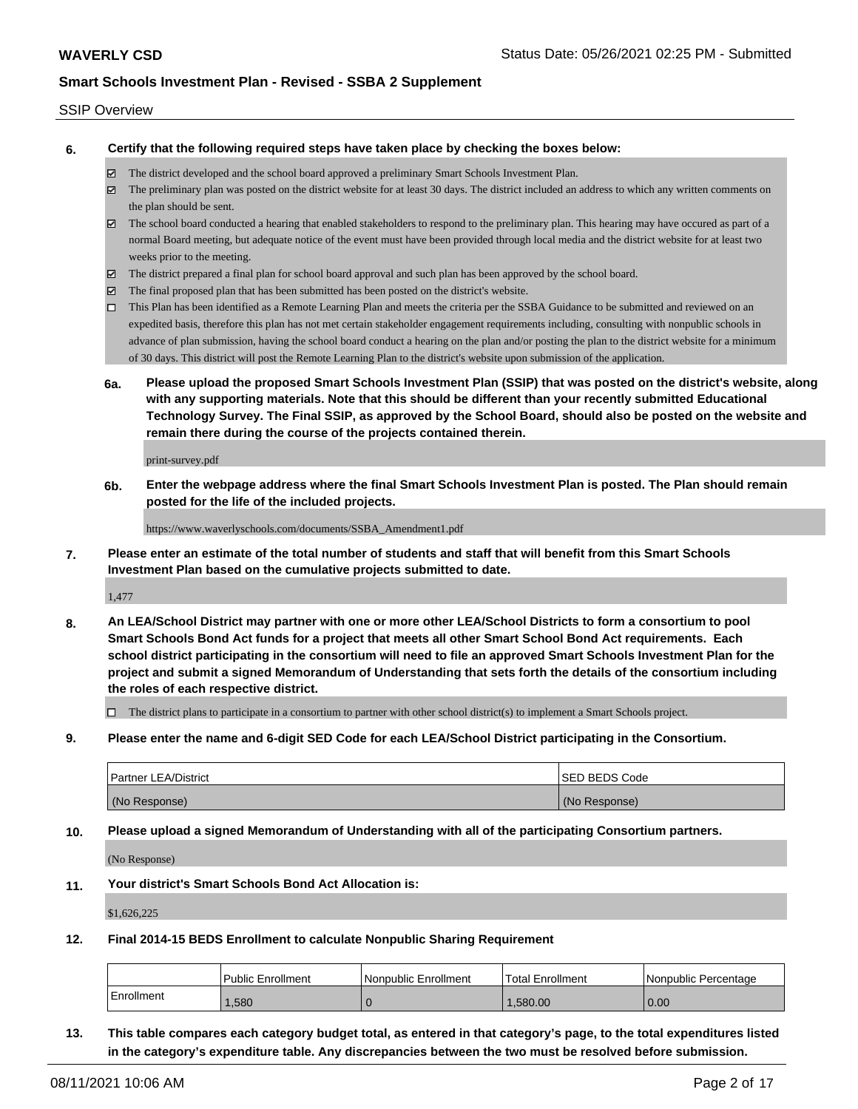#### SSIP Overview

**6. Certify that the following required steps have taken place by checking the boxes below:**

- The district developed and the school board approved a preliminary Smart Schools Investment Plan.
- The preliminary plan was posted on the district website for at least 30 days. The district included an address to which any written comments on the plan should be sent.
- The school board conducted a hearing that enabled stakeholders to respond to the preliminary plan. This hearing may have occured as part of a normal Board meeting, but adequate notice of the event must have been provided through local media and the district website for at least two weeks prior to the meeting.
- The district prepared a final plan for school board approval and such plan has been approved by the school board.
- $\boxtimes$  The final proposed plan that has been submitted has been posted on the district's website.
- This Plan has been identified as a Remote Learning Plan and meets the criteria per the SSBA Guidance to be submitted and reviewed on an expedited basis, therefore this plan has not met certain stakeholder engagement requirements including, consulting with nonpublic schools in advance of plan submission, having the school board conduct a hearing on the plan and/or posting the plan to the district website for a minimum of 30 days. This district will post the Remote Learning Plan to the district's website upon submission of the application.
- **6a. Please upload the proposed Smart Schools Investment Plan (SSIP) that was posted on the district's website, along with any supporting materials. Note that this should be different than your recently submitted Educational Technology Survey. The Final SSIP, as approved by the School Board, should also be posted on the website and remain there during the course of the projects contained therein.**

print-survey.pdf

**6b. Enter the webpage address where the final Smart Schools Investment Plan is posted. The Plan should remain posted for the life of the included projects.**

https://www.waverlyschools.com/documents/SSBA\_Amendment1.pdf

**7. Please enter an estimate of the total number of students and staff that will benefit from this Smart Schools Investment Plan based on the cumulative projects submitted to date.**

1,477

**8. An LEA/School District may partner with one or more other LEA/School Districts to form a consortium to pool Smart Schools Bond Act funds for a project that meets all other Smart School Bond Act requirements. Each school district participating in the consortium will need to file an approved Smart Schools Investment Plan for the project and submit a signed Memorandum of Understanding that sets forth the details of the consortium including the roles of each respective district.**

 $\Box$  The district plans to participate in a consortium to partner with other school district(s) to implement a Smart Schools project.

**9. Please enter the name and 6-digit SED Code for each LEA/School District participating in the Consortium.**

| <b>Partner LEA/District</b> | <b>ISED BEDS Code</b> |
|-----------------------------|-----------------------|
| (No Response)               | (No Response)         |

**10. Please upload a signed Memorandum of Understanding with all of the participating Consortium partners.**

(No Response)

**11. Your district's Smart Schools Bond Act Allocation is:**

\$1,626,225

**12. Final 2014-15 BEDS Enrollment to calculate Nonpublic Sharing Requirement**

|            | <b>Public Enrollment</b> | l Nonpublic Enrollment | 'Total Enrollment | I Nonpublic Percentage |
|------------|--------------------------|------------------------|-------------------|------------------------|
| Enrollment | ,580                     |                        | .580.00           | 0.00                   |

**13. This table compares each category budget total, as entered in that category's page, to the total expenditures listed in the category's expenditure table. Any discrepancies between the two must be resolved before submission.**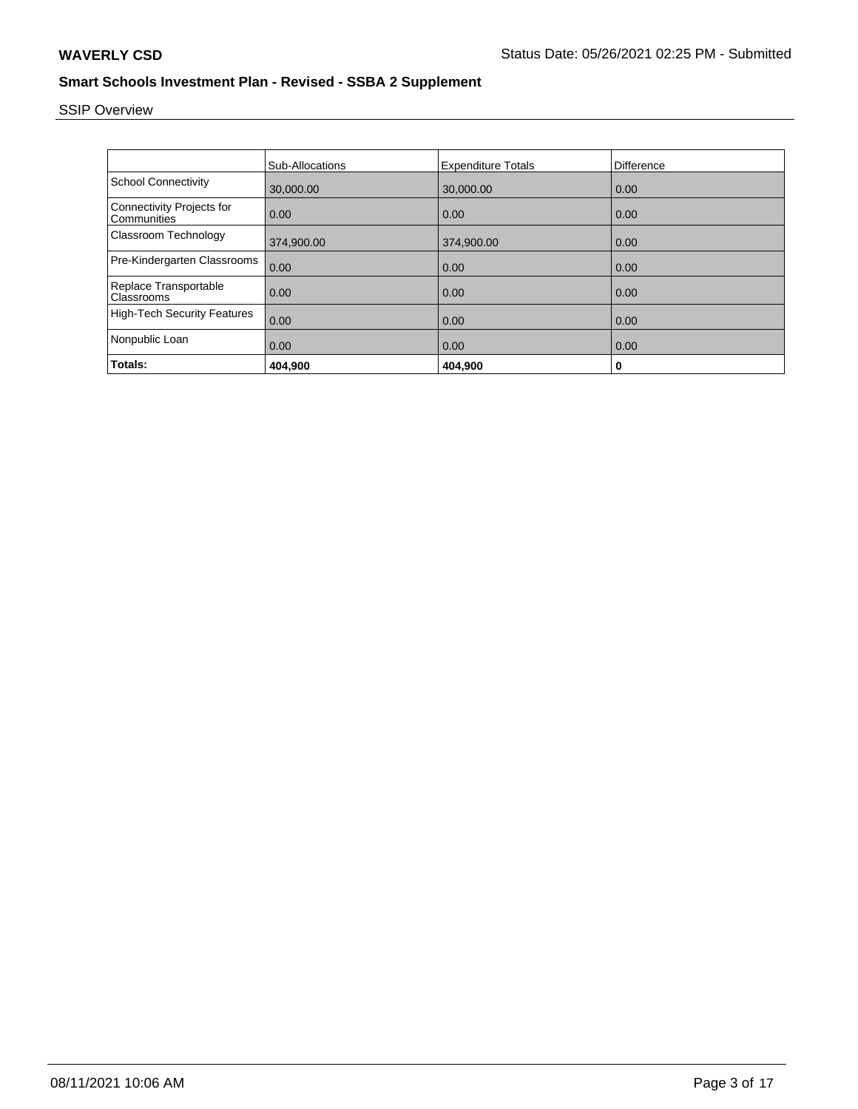# SSIP Overview

|                                          | <b>Sub-Allocations</b> | <b>Expenditure Totals</b> | Difference |
|------------------------------------------|------------------------|---------------------------|------------|
| <b>School Connectivity</b>               | 30,000.00              | 30,000.00                 | 0.00       |
| Connectivity Projects for<br>Communities | 0.00                   | 0.00                      | 0.00       |
| Classroom Technology                     | 374,900.00             | 374,900.00                | 0.00       |
| Pre-Kindergarten Classrooms              | 0.00                   | 0.00                      | 0.00       |
| Replace Transportable<br>Classrooms      | 0.00                   | 0.00                      | 0.00       |
| <b>High-Tech Security Features</b>       | 0.00                   | 0.00                      | 0.00       |
| Nonpublic Loan                           | 0.00                   | 0.00                      | 0.00       |
| Totals:                                  | 404,900                | 404,900                   | 0          |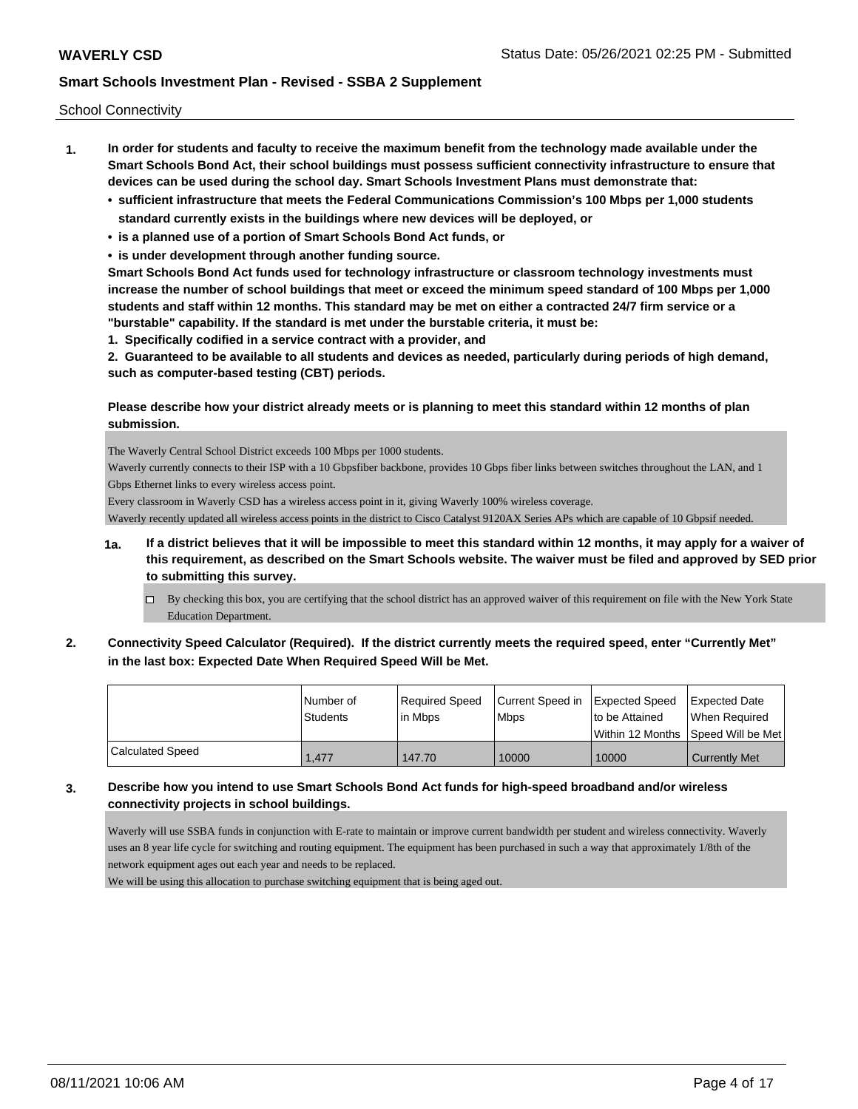School Connectivity

- **1. In order for students and faculty to receive the maximum benefit from the technology made available under the Smart Schools Bond Act, their school buildings must possess sufficient connectivity infrastructure to ensure that devices can be used during the school day. Smart Schools Investment Plans must demonstrate that:**
	- **• sufficient infrastructure that meets the Federal Communications Commission's 100 Mbps per 1,000 students standard currently exists in the buildings where new devices will be deployed, or**
	- **• is a planned use of a portion of Smart Schools Bond Act funds, or**
	- **• is under development through another funding source.**

**Smart Schools Bond Act funds used for technology infrastructure or classroom technology investments must increase the number of school buildings that meet or exceed the minimum speed standard of 100 Mbps per 1,000 students and staff within 12 months. This standard may be met on either a contracted 24/7 firm service or a "burstable" capability. If the standard is met under the burstable criteria, it must be:**

**1. Specifically codified in a service contract with a provider, and**

**2. Guaranteed to be available to all students and devices as needed, particularly during periods of high demand, such as computer-based testing (CBT) periods.**

#### **Please describe how your district already meets or is planning to meet this standard within 12 months of plan submission.**

The Waverly Central School District exceeds 100 Mbps per 1000 students.

Waverly currently connects to their ISP with a 10 Gbpsfiber backbone, provides 10 Gbps fiber links between switches throughout the LAN, and 1 Gbps Ethernet links to every wireless access point.

Every classroom in Waverly CSD has a wireless access point in it, giving Waverly 100% wireless coverage.

Waverly recently updated all wireless access points in the district to Cisco Catalyst 9120AX Series APs which are capable of 10 Gbpsif needed.

- **1a. If a district believes that it will be impossible to meet this standard within 12 months, it may apply for a waiver of this requirement, as described on the Smart Schools website. The waiver must be filed and approved by SED prior to submitting this survey.**
	- $\Box$  By checking this box, you are certifying that the school district has an approved waiver of this requirement on file with the New York State Education Department.
- **2. Connectivity Speed Calculator (Required). If the district currently meets the required speed, enter "Currently Met" in the last box: Expected Date When Required Speed Will be Met.**

|                         | l Number of<br><b>Students</b> | Required Speed<br>l in Mbps | Current Speed in<br><b>Mbps</b> | <b>Expected Speed</b><br>to be Attained | Expected Date<br>When Required       |
|-------------------------|--------------------------------|-----------------------------|---------------------------------|-----------------------------------------|--------------------------------------|
|                         |                                |                             |                                 |                                         | Within 12 Months 1Speed Will be Met1 |
| <b>Calculated Speed</b> | 1.477                          | 147.70                      | 10000                           | 10000                                   | Currently Met                        |

**3. Describe how you intend to use Smart Schools Bond Act funds for high-speed broadband and/or wireless connectivity projects in school buildings.**

Waverly will use SSBA funds in conjunction with E-rate to maintain or improve current bandwidth per student and wireless connectivity. Waverly uses an 8 year life cycle for switching and routing equipment. The equipment has been purchased in such a way that approximately 1/8th of the network equipment ages out each year and needs to be replaced.

We will be using this allocation to purchase switching equipment that is being aged out.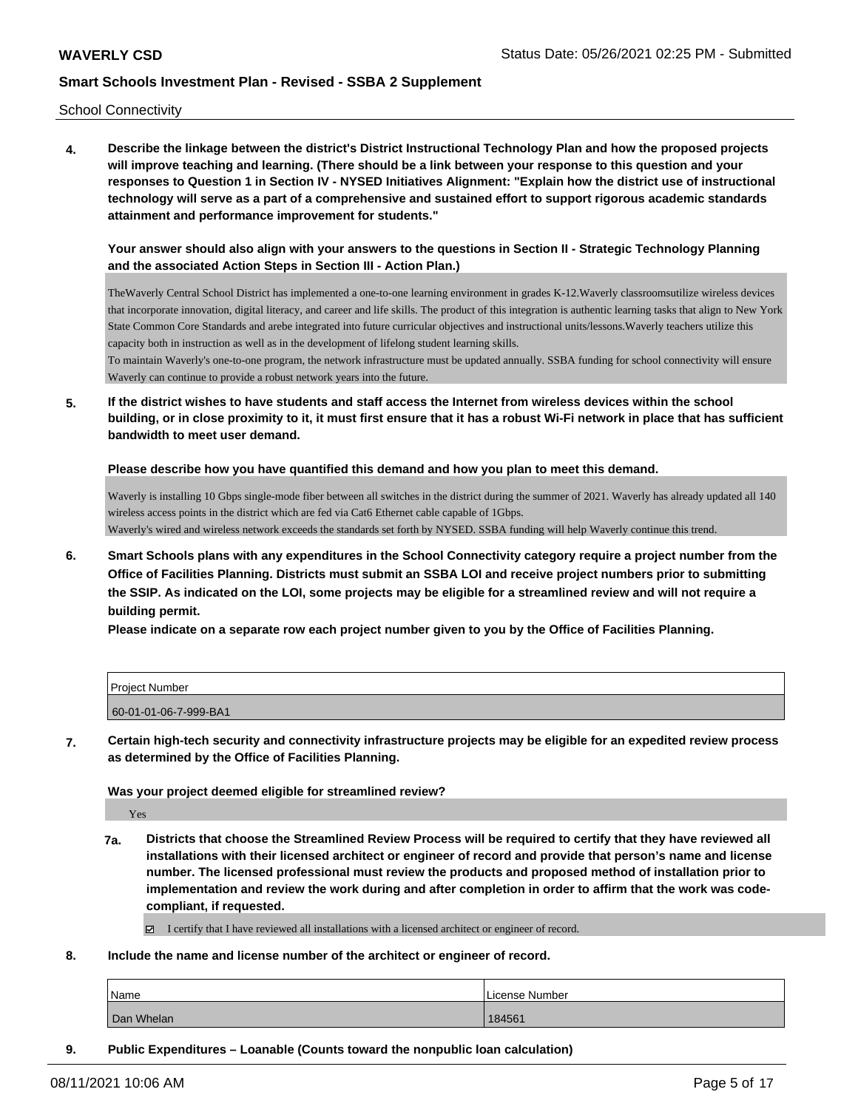School Connectivity

**4. Describe the linkage between the district's District Instructional Technology Plan and how the proposed projects will improve teaching and learning. (There should be a link between your response to this question and your responses to Question 1 in Section IV - NYSED Initiatives Alignment: "Explain how the district use of instructional technology will serve as a part of a comprehensive and sustained effort to support rigorous academic standards attainment and performance improvement for students."** 

**Your answer should also align with your answers to the questions in Section II - Strategic Technology Planning and the associated Action Steps in Section III - Action Plan.)**

TheWaverly Central School District has implemented a one-to-one learning environment in grades K-12.Waverly classroomsutilize wireless devices that incorporate innovation, digital literacy, and career and life skills. The product of this integration is authentic learning tasks that align to New York State Common Core Standards and arebe integrated into future curricular objectives and instructional units/lessons.Waverly teachers utilize this capacity both in instruction as well as in the development of lifelong student learning skills.

To maintain Waverly's one-to-one program, the network infrastructure must be updated annually. SSBA funding for school connectivity will ensure Waverly can continue to provide a robust network years into the future.

**5. If the district wishes to have students and staff access the Internet from wireless devices within the school building, or in close proximity to it, it must first ensure that it has a robust Wi-Fi network in place that has sufficient bandwidth to meet user demand.**

**Please describe how you have quantified this demand and how you plan to meet this demand.**

Waverly is installing 10 Gbps single-mode fiber between all switches in the district during the summer of 2021. Waverly has already updated all 140 wireless access points in the district which are fed via Cat6 Ethernet cable capable of 1Gbps. Waverly's wired and wireless network exceeds the standards set forth by NYSED. SSBA funding will help Waverly continue this trend.

**6. Smart Schools plans with any expenditures in the School Connectivity category require a project number from the Office of Facilities Planning. Districts must submit an SSBA LOI and receive project numbers prior to submitting the SSIP. As indicated on the LOI, some projects may be eligible for a streamlined review and will not require a building permit.**

**Please indicate on a separate row each project number given to you by the Office of Facilities Planning.**

| l Proiect Number      |  |
|-----------------------|--|
| 60-01-01-06-7-999-BA1 |  |

**7. Certain high-tech security and connectivity infrastructure projects may be eligible for an expedited review process as determined by the Office of Facilities Planning.**

**Was your project deemed eligible for streamlined review?**

Yes

- **7a. Districts that choose the Streamlined Review Process will be required to certify that they have reviewed all installations with their licensed architect or engineer of record and provide that person's name and license number. The licensed professional must review the products and proposed method of installation prior to implementation and review the work during and after completion in order to affirm that the work was codecompliant, if requested.**
	- $\Box$  I certify that I have reviewed all installations with a licensed architect or engineer of record.
- **8. Include the name and license number of the architect or engineer of record.**

| Name       | l License Number |
|------------|------------------|
| Dan Whelan | 184561           |

**9. Public Expenditures – Loanable (Counts toward the nonpublic loan calculation)**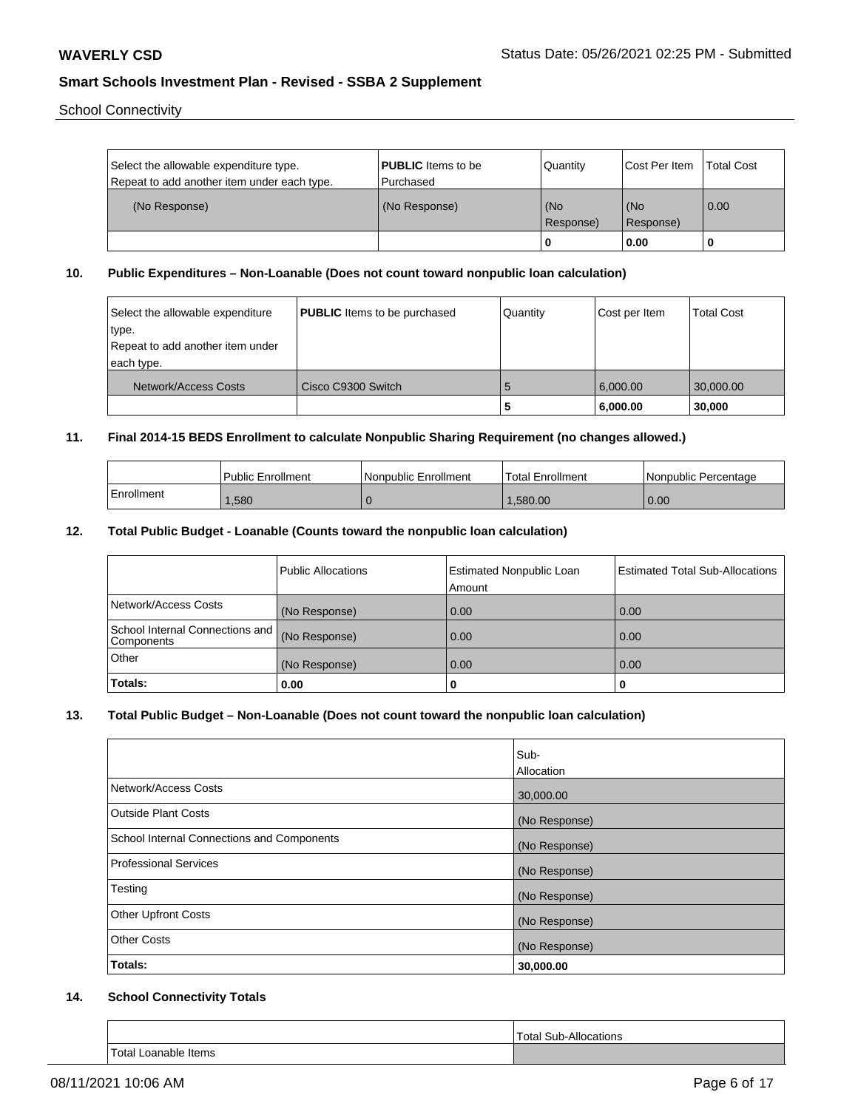School Connectivity

| Select the allowable expenditure type.<br>Repeat to add another item under each type. | <b>PUBLIC</b> Items to be<br>l Purchased | Quantity         | <b>Cost Per Item</b> | <b>Total Cost</b> |
|---------------------------------------------------------------------------------------|------------------------------------------|------------------|----------------------|-------------------|
| (No Response)                                                                         | (No Response)                            | (No<br>Response) | (No<br>Response)     | 0.00              |
|                                                                                       |                                          |                  | 0.00                 |                   |

## **10. Public Expenditures – Non-Loanable (Does not count toward nonpublic loan calculation)**

| Select the allowable expenditure<br>'type.<br>Repeat to add another item under<br>each type. | <b>PUBLIC</b> Items to be purchased | Quantity | Cost per Item        | Total Cost          |
|----------------------------------------------------------------------------------------------|-------------------------------------|----------|----------------------|---------------------|
| Network/Access Costs                                                                         | Cisco C9300 Switch                  | 5<br>э   | 6,000.00<br>6,000.00 | 30,000.00<br>30,000 |

## **11. Final 2014-15 BEDS Enrollment to calculate Nonpublic Sharing Requirement (no changes allowed.)**

|            | Public Enrollment | Nonpublic Enrollment | 'Total Enrollment | l Nonpublic Percentage |
|------------|-------------------|----------------------|-------------------|------------------------|
| Enrollment | .580              |                      | .580.00           | 0.00                   |

## **12. Total Public Budget - Loanable (Counts toward the nonpublic loan calculation)**

|                                               | <b>Public Allocations</b> | Estimated Nonpublic Loan<br>Amount | <b>Estimated Total Sub-Allocations</b> |
|-----------------------------------------------|---------------------------|------------------------------------|----------------------------------------|
| Network/Access Costs                          | (No Response)             | 0.00                               | 0.00                                   |
| School Internal Connections and<br>Components | (No Response)             | 0.00                               | 0.00                                   |
| Other                                         | (No Response)             | 0.00                               | 0.00                                   |
| Totals:                                       | 0.00                      | 0                                  | υ                                      |

## **13. Total Public Budget – Non-Loanable (Does not count toward the nonpublic loan calculation)**

| Sub-<br>Allocation |
|--------------------|
|                    |
| 30,000.00          |
| (No Response)      |
|                    |
| (No Response)      |
|                    |
| (No Response)      |
| (No Response)      |
|                    |
| (No Response)      |
| (No Response)      |
| 30,000.00          |
|                    |

## **14. School Connectivity Totals**

|                           | Total Sub-Allocations |
|---------------------------|-----------------------|
| Total Loanable Items<br>. |                       |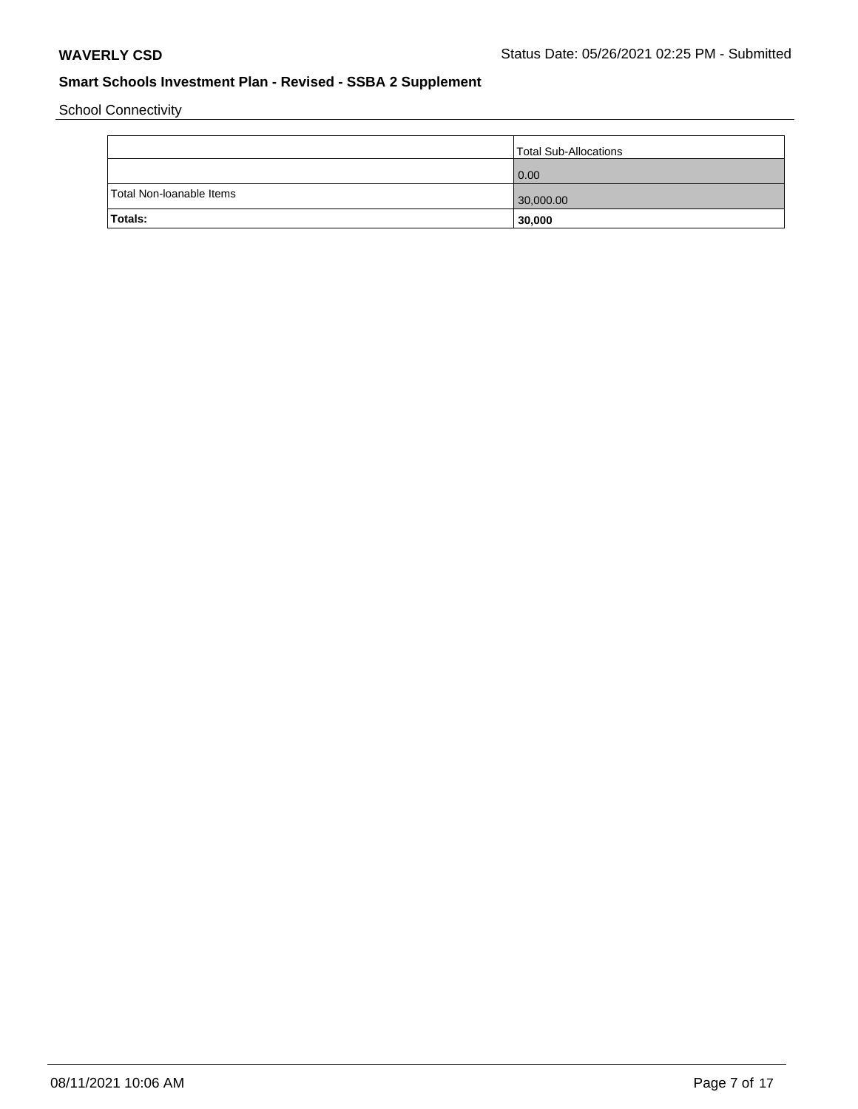School Connectivity

|                          | Total Sub-Allocations |
|--------------------------|-----------------------|
|                          | 0.00                  |
| Total Non-Ioanable Items | 30,000.00             |
| Totals:                  | 30,000                |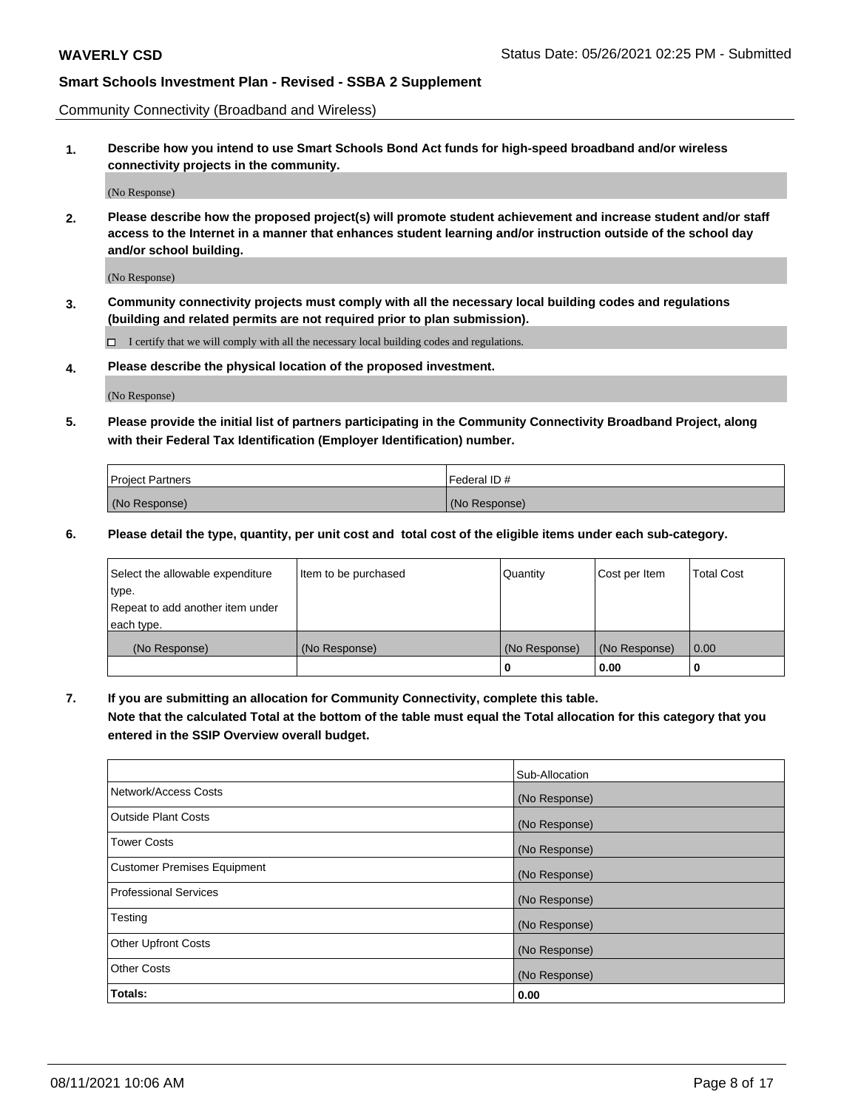Community Connectivity (Broadband and Wireless)

**1. Describe how you intend to use Smart Schools Bond Act funds for high-speed broadband and/or wireless connectivity projects in the community.**

(No Response)

**2. Please describe how the proposed project(s) will promote student achievement and increase student and/or staff access to the Internet in a manner that enhances student learning and/or instruction outside of the school day and/or school building.**

(No Response)

**3. Community connectivity projects must comply with all the necessary local building codes and regulations (building and related permits are not required prior to plan submission).**

 $\Box$  I certify that we will comply with all the necessary local building codes and regulations.

**4. Please describe the physical location of the proposed investment.**

(No Response)

**5. Please provide the initial list of partners participating in the Community Connectivity Broadband Project, along with their Federal Tax Identification (Employer Identification) number.**

| <b>Project Partners</b> | l Federal ID # |
|-------------------------|----------------|
| (No Response)           | (No Response)  |

**6. Please detail the type, quantity, per unit cost and total cost of the eligible items under each sub-category.**

| Select the allowable expenditure | Item to be purchased | Quantity      | Cost per Item | <b>Total Cost</b> |
|----------------------------------|----------------------|---------------|---------------|-------------------|
| type.                            |                      |               |               |                   |
| Repeat to add another item under |                      |               |               |                   |
| each type.                       |                      |               |               |                   |
| (No Response)                    | (No Response)        | (No Response) | (No Response) | 0.00              |
|                                  |                      | o             | 0.00          |                   |

**7. If you are submitting an allocation for Community Connectivity, complete this table.**

**Note that the calculated Total at the bottom of the table must equal the Total allocation for this category that you entered in the SSIP Overview overall budget.**

|                                    | Sub-Allocation |
|------------------------------------|----------------|
| Network/Access Costs               | (No Response)  |
| <b>Outside Plant Costs</b>         | (No Response)  |
| <b>Tower Costs</b>                 | (No Response)  |
| <b>Customer Premises Equipment</b> | (No Response)  |
| <b>Professional Services</b>       | (No Response)  |
| Testing                            | (No Response)  |
| <b>Other Upfront Costs</b>         | (No Response)  |
| <b>Other Costs</b>                 | (No Response)  |
| Totals:                            | 0.00           |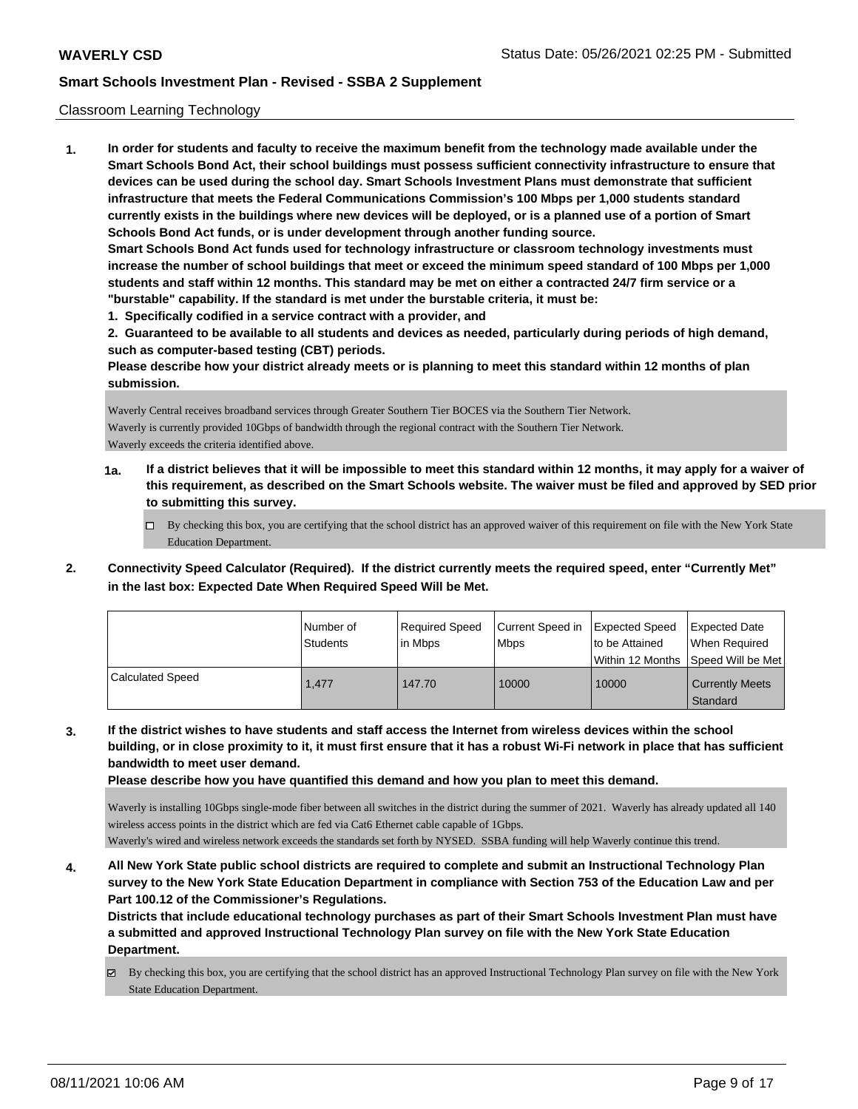#### Classroom Learning Technology

**1. In order for students and faculty to receive the maximum benefit from the technology made available under the Smart Schools Bond Act, their school buildings must possess sufficient connectivity infrastructure to ensure that devices can be used during the school day. Smart Schools Investment Plans must demonstrate that sufficient infrastructure that meets the Federal Communications Commission's 100 Mbps per 1,000 students standard currently exists in the buildings where new devices will be deployed, or is a planned use of a portion of Smart Schools Bond Act funds, or is under development through another funding source. Smart Schools Bond Act funds used for technology infrastructure or classroom technology investments must increase the number of school buildings that meet or exceed the minimum speed standard of 100 Mbps per 1,000 students and staff within 12 months. This standard may be met on either a contracted 24/7 firm service or a "burstable" capability. If the standard is met under the burstable criteria, it must be: 1. Specifically codified in a service contract with a provider, and**

**2. Guaranteed to be available to all students and devices as needed, particularly during periods of high demand, such as computer-based testing (CBT) periods.**

**Please describe how your district already meets or is planning to meet this standard within 12 months of plan submission.**

Waverly Central receives broadband services through Greater Southern Tier BOCES via the Southern Tier Network. Waverly is currently provided 10Gbps of bandwidth through the regional contract with the Southern Tier Network. Waverly exceeds the criteria identified above.

- **1a. If a district believes that it will be impossible to meet this standard within 12 months, it may apply for a waiver of this requirement, as described on the Smart Schools website. The waiver must be filed and approved by SED prior to submitting this survey.**
	- By checking this box, you are certifying that the school district has an approved waiver of this requirement on file with the New York State Education Department.
- **2. Connectivity Speed Calculator (Required). If the district currently meets the required speed, enter "Currently Met" in the last box: Expected Date When Required Speed Will be Met.**

|                         | l Number of<br><b>Students</b> | Required Speed<br>l in Mbps | Current Speed in<br><b>Mbps</b> | <b>Expected Speed</b><br>to be Attained | <b>Expected Date</b><br>When Reauired<br>l Within 12 Months ISpeed Will be Met l |
|-------------------------|--------------------------------|-----------------------------|---------------------------------|-----------------------------------------|----------------------------------------------------------------------------------|
| <b>Calculated Speed</b> | 1.477                          | 147.70                      | 10000                           | 10000                                   | <b>Currently Meets</b><br>Standard                                               |

**3. If the district wishes to have students and staff access the Internet from wireless devices within the school building, or in close proximity to it, it must first ensure that it has a robust Wi-Fi network in place that has sufficient bandwidth to meet user demand.**

**Please describe how you have quantified this demand and how you plan to meet this demand.**

Waverly is installing 10Gbps single-mode fiber between all switches in the district during the summer of 2021. Waverly has already updated all 140 wireless access points in the district which are fed via Cat6 Ethernet cable capable of 1Gbps.

Waverly's wired and wireless network exceeds the standards set forth by NYSED. SSBA funding will help Waverly continue this trend.

**4. All New York State public school districts are required to complete and submit an Instructional Technology Plan survey to the New York State Education Department in compliance with Section 753 of the Education Law and per Part 100.12 of the Commissioner's Regulations.**

**Districts that include educational technology purchases as part of their Smart Schools Investment Plan must have a submitted and approved Instructional Technology Plan survey on file with the New York State Education Department.**

 $\boxtimes$  By checking this box, you are certifying that the school district has an approved Instructional Technology Plan survey on file with the New York State Education Department.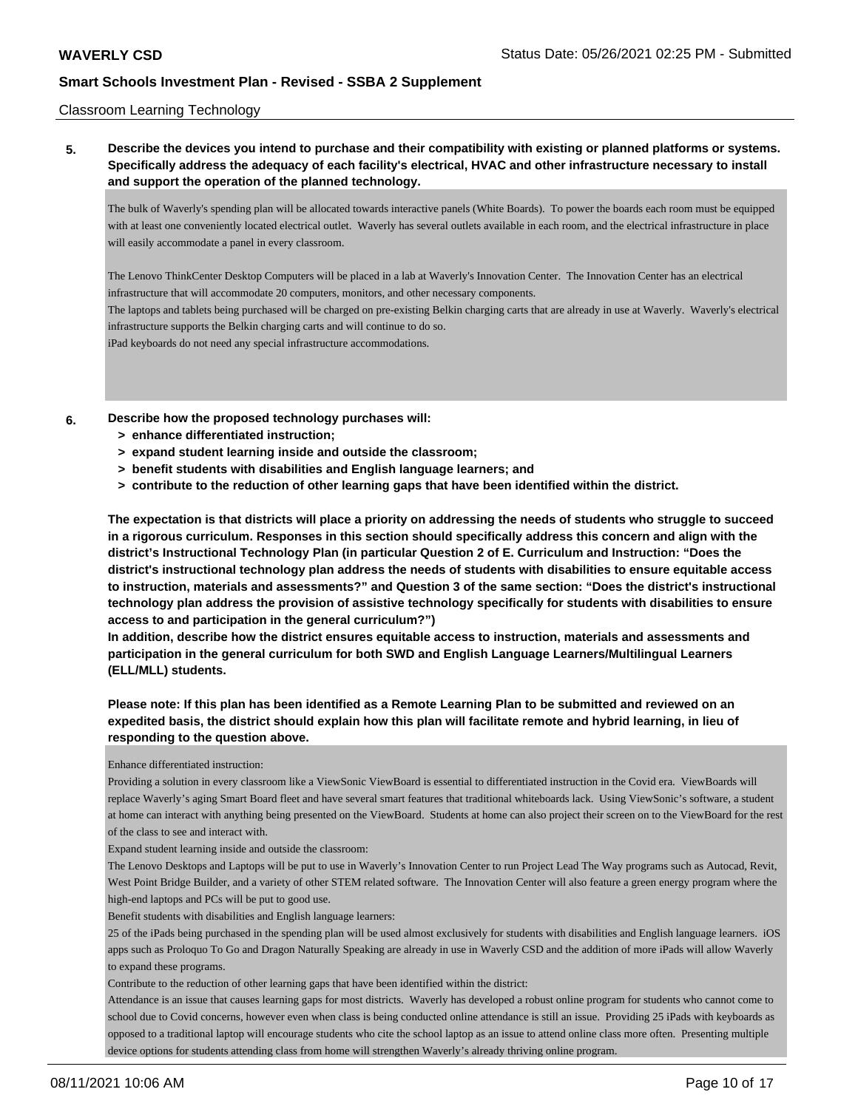#### Classroom Learning Technology

**5. Describe the devices you intend to purchase and their compatibility with existing or planned platforms or systems. Specifically address the adequacy of each facility's electrical, HVAC and other infrastructure necessary to install and support the operation of the planned technology.**

The bulk of Waverly's spending plan will be allocated towards interactive panels (White Boards). To power the boards each room must be equipped with at least one conveniently located electrical outlet. Waverly has several outlets available in each room, and the electrical infrastructure in place will easily accommodate a panel in every classroom.

The Lenovo ThinkCenter Desktop Computers will be placed in a lab at Waverly's Innovation Center. The Innovation Center has an electrical infrastructure that will accommodate 20 computers, monitors, and other necessary components.

The laptops and tablets being purchased will be charged on pre-existing Belkin charging carts that are already in use at Waverly. Waverly's electrical infrastructure supports the Belkin charging carts and will continue to do so.

iPad keyboards do not need any special infrastructure accommodations.

**6. Describe how the proposed technology purchases will:**

- **> enhance differentiated instruction;**
- **> expand student learning inside and outside the classroom;**
- **> benefit students with disabilities and English language learners; and**
- **> contribute to the reduction of other learning gaps that have been identified within the district.**

**The expectation is that districts will place a priority on addressing the needs of students who struggle to succeed in a rigorous curriculum. Responses in this section should specifically address this concern and align with the district's Instructional Technology Plan (in particular Question 2 of E. Curriculum and Instruction: "Does the district's instructional technology plan address the needs of students with disabilities to ensure equitable access to instruction, materials and assessments?" and Question 3 of the same section: "Does the district's instructional technology plan address the provision of assistive technology specifically for students with disabilities to ensure access to and participation in the general curriculum?")**

**In addition, describe how the district ensures equitable access to instruction, materials and assessments and participation in the general curriculum for both SWD and English Language Learners/Multilingual Learners (ELL/MLL) students.**

**Please note: If this plan has been identified as a Remote Learning Plan to be submitted and reviewed on an expedited basis, the district should explain how this plan will facilitate remote and hybrid learning, in lieu of responding to the question above.**

Enhance differentiated instruction:

Providing a solution in every classroom like a ViewSonic ViewBoard is essential to differentiated instruction in the Covid era. ViewBoards will replace Waverly's aging Smart Board fleet and have several smart features that traditional whiteboards lack. Using ViewSonic's software, a student at home can interact with anything being presented on the ViewBoard. Students at home can also project their screen on to the ViewBoard for the rest of the class to see and interact with.

Expand student learning inside and outside the classroom:

The Lenovo Desktops and Laptops will be put to use in Waverly's Innovation Center to run Project Lead The Way programs such as Autocad, Revit, West Point Bridge Builder, and a variety of other STEM related software. The Innovation Center will also feature a green energy program where the high-end laptops and PCs will be put to good use.

Benefit students with disabilities and English language learners:

25 of the iPads being purchased in the spending plan will be used almost exclusively for students with disabilities and English language learners. iOS apps such as Proloquo To Go and Dragon Naturally Speaking are already in use in Waverly CSD and the addition of more iPads will allow Waverly to expand these programs.

Contribute to the reduction of other learning gaps that have been identified within the district:

Attendance is an issue that causes learning gaps for most districts. Waverly has developed a robust online program for students who cannot come to school due to Covid concerns, however even when class is being conducted online attendance is still an issue. Providing 25 iPads with keyboards as opposed to a traditional laptop will encourage students who cite the school laptop as an issue to attend online class more often. Presenting multiple device options for students attending class from home will strengthen Waverly's already thriving online program.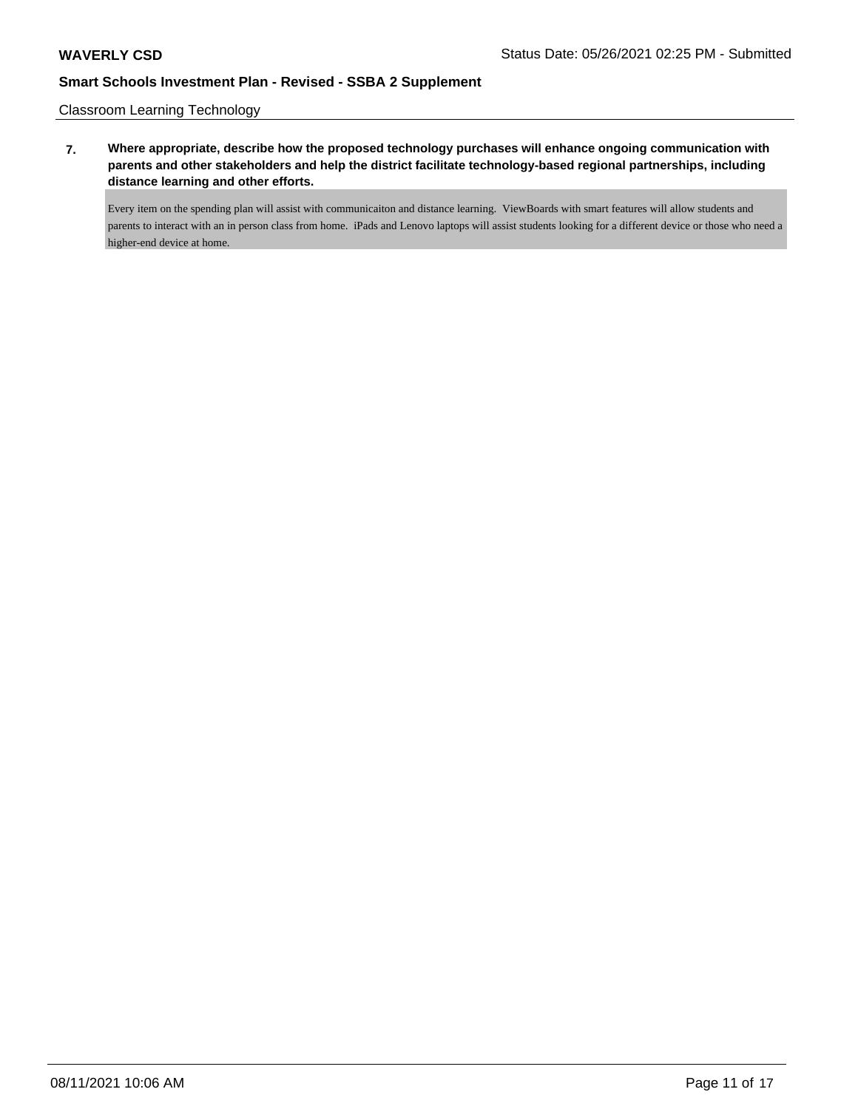Classroom Learning Technology

**7. Where appropriate, describe how the proposed technology purchases will enhance ongoing communication with parents and other stakeholders and help the district facilitate technology-based regional partnerships, including distance learning and other efforts.**

Every item on the spending plan will assist with communicaiton and distance learning. ViewBoards with smart features will allow students and parents to interact with an in person class from home. iPads and Lenovo laptops will assist students looking for a different device or those who need a higher-end device at home.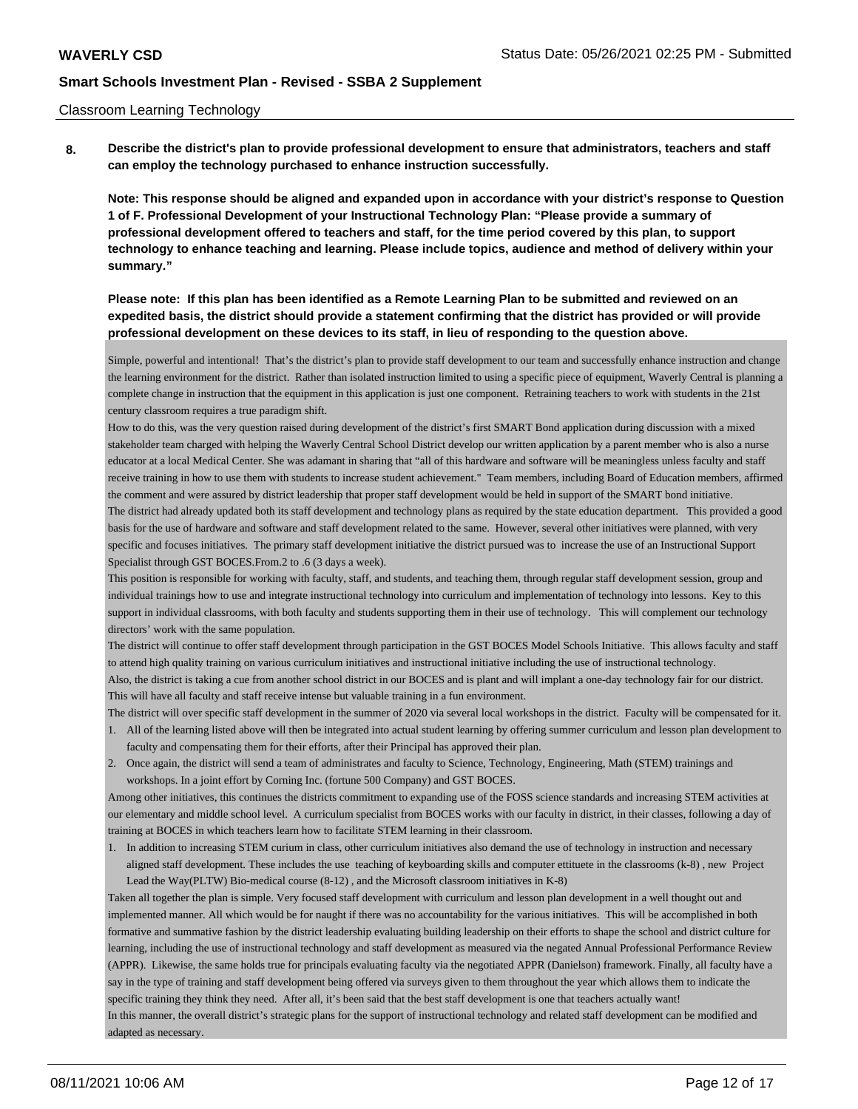#### Classroom Learning Technology

**8. Describe the district's plan to provide professional development to ensure that administrators, teachers and staff can employ the technology purchased to enhance instruction successfully.**

**Note: This response should be aligned and expanded upon in accordance with your district's response to Question 1 of F. Professional Development of your Instructional Technology Plan: "Please provide a summary of professional development offered to teachers and staff, for the time period covered by this plan, to support technology to enhance teaching and learning. Please include topics, audience and method of delivery within your summary."**

## **Please note: If this plan has been identified as a Remote Learning Plan to be submitted and reviewed on an expedited basis, the district should provide a statement confirming that the district has provided or will provide professional development on these devices to its staff, in lieu of responding to the question above.**

Simple, powerful and intentional! That's the district's plan to provide staff development to our team and successfully enhance instruction and change the learning environment for the district. Rather than isolated instruction limited to using a specific piece of equipment, Waverly Central is planning a complete change in instruction that the equipment in this application is just one component. Retraining teachers to work with students in the 21st century classroom requires a true paradigm shift.

How to do this, was the very question raised during development of the district's first SMART Bond application during discussion with a mixed stakeholder team charged with helping the Waverly Central School District develop our written application by a parent member who is also a nurse educator at a local Medical Center. She was adamant in sharing that "all of this hardware and software will be meaningless unless faculty and staff receive training in how to use them with students to increase student achievement." Team members, including Board of Education members, affirmed the comment and were assured by district leadership that proper staff development would be held in support of the SMART bond initiative. The district had already updated both its staff development and technology plans as required by the state education department. This provided a good basis for the use of hardware and software and staff development related to the same. However, several other initiatives were planned, with very specific and focuses initiatives. The primary staff development initiative the district pursued was to increase the use of an Instructional Support Specialist through GST BOCES.From.2 to .6 (3 days a week).

This position is responsible for working with faculty, staff, and students, and teaching them, through regular staff development session, group and individual trainings how to use and integrate instructional technology into curriculum and implementation of technology into lessons. Key to this support in individual classrooms, with both faculty and students supporting them in their use of technology. This will complement our technology directors' work with the same population.

The district will continue to offer staff development through participation in the GST BOCES Model Schools Initiative. This allows faculty and staff to attend high quality training on various curriculum initiatives and instructional initiative including the use of instructional technology. Also, the district is taking a cue from another school district in our BOCES and is plant and will implant a one-day technology fair for our district.

This will have all faculty and staff receive intense but valuable training in a fun environment.

- The district will over specific staff development in the summer of 2020 via several local workshops in the district. Faculty will be compensated for it. 1. All of the learning listed above will then be integrated into actual student learning by offering summer curriculum and lesson plan development to faculty and compensating them for their efforts, after their Principal has approved their plan.
- 2. Once again, the district will send a team of administrates and faculty to Science, Technology, Engineering, Math (STEM) trainings and workshops. In a joint effort by Corning Inc. (fortune 500 Company) and GST BOCES.

Among other initiatives, this continues the districts commitment to expanding use of the FOSS science standards and increasing STEM activities at our elementary and middle school level. A curriculum specialist from BOCES works with our faculty in district, in their classes, following a day of training at BOCES in which teachers learn how to facilitate STEM learning in their classroom.

1. In addition to increasing STEM curium in class, other curriculum initiatives also demand the use of technology in instruction and necessary aligned staff development. These includes the use teaching of keyboarding skills and computer ettituete in the classrooms (k-8) , new Project Lead the Way(PLTW) Bio-medical course (8-12) , and the Microsoft classroom initiatives in K-8)

Taken all together the plan is simple. Very focused staff development with curriculum and lesson plan development in a well thought out and implemented manner. All which would be for naught if there was no accountability for the various initiatives. This will be accomplished in both formative and summative fashion by the district leadership evaluating building leadership on their efforts to shape the school and district culture for learning, including the use of instructional technology and staff development as measured via the negated Annual Professional Performance Review (APPR). Likewise, the same holds true for principals evaluating faculty via the negotiated APPR (Danielson) framework. Finally, all faculty have a say in the type of training and staff development being offered via surveys given to them throughout the year which allows them to indicate the specific training they think they need. After all, it's been said that the best staff development is one that teachers actually want! In this manner, the overall district's strategic plans for the support of instructional technology and related staff development can be modified and adapted as necessary.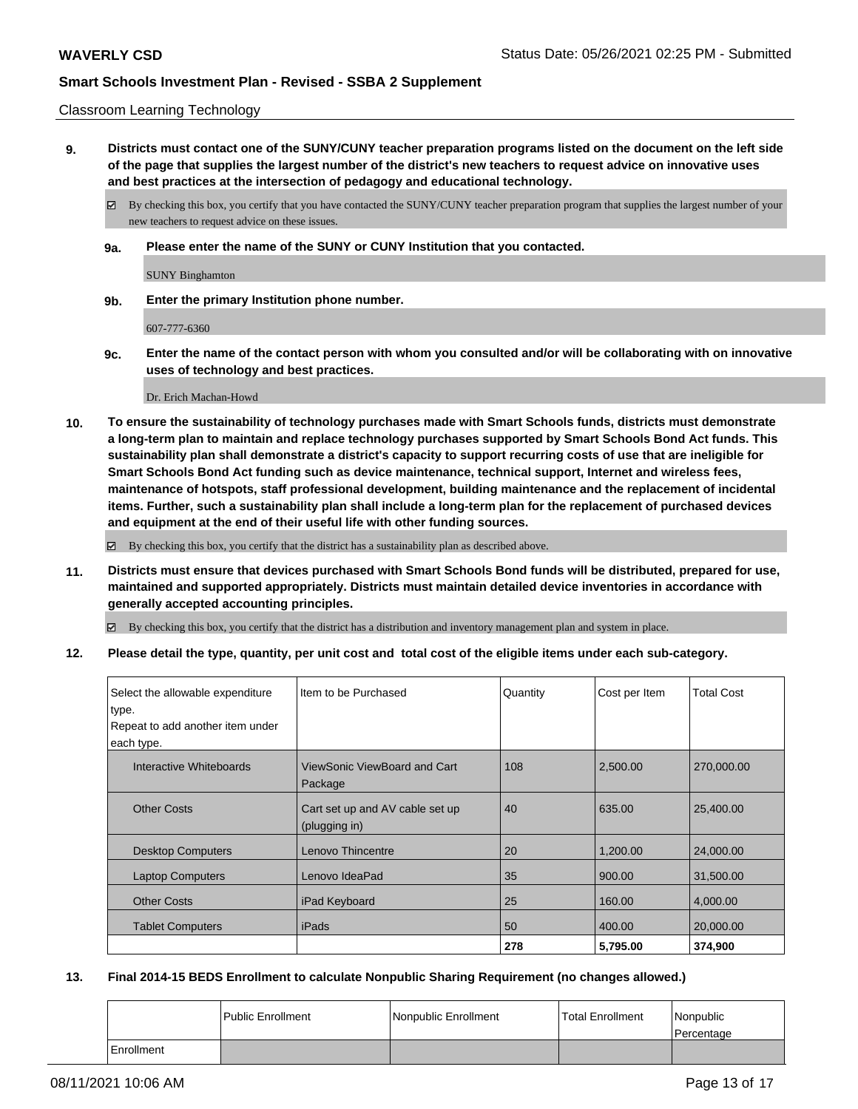#### Classroom Learning Technology

**9. Districts must contact one of the SUNY/CUNY teacher preparation programs listed on the document on the left side of the page that supplies the largest number of the district's new teachers to request advice on innovative uses and best practices at the intersection of pedagogy and educational technology.**

By checking this box, you certify that you have contacted the SUNY/CUNY teacher preparation program that supplies the largest number of your new teachers to request advice on these issues.

**9a. Please enter the name of the SUNY or CUNY Institution that you contacted.**

SUNY Binghamton

**9b. Enter the primary Institution phone number.**

607-777-6360

**9c. Enter the name of the contact person with whom you consulted and/or will be collaborating with on innovative uses of technology and best practices.**

Dr. Erich Machan-Howd

**10. To ensure the sustainability of technology purchases made with Smart Schools funds, districts must demonstrate a long-term plan to maintain and replace technology purchases supported by Smart Schools Bond Act funds. This sustainability plan shall demonstrate a district's capacity to support recurring costs of use that are ineligible for Smart Schools Bond Act funding such as device maintenance, technical support, Internet and wireless fees, maintenance of hotspots, staff professional development, building maintenance and the replacement of incidental items. Further, such a sustainability plan shall include a long-term plan for the replacement of purchased devices and equipment at the end of their useful life with other funding sources.**

By checking this box, you certify that the district has a sustainability plan as described above.

**11. Districts must ensure that devices purchased with Smart Schools Bond funds will be distributed, prepared for use, maintained and supported appropriately. Districts must maintain detailed device inventories in accordance with generally accepted accounting principles.**

By checking this box, you certify that the district has a distribution and inventory management plan and system in place.

**12. Please detail the type, quantity, per unit cost and total cost of the eligible items under each sub-category.**

| Select the allowable expenditure<br>type.<br>Repeat to add another item under<br>each type. | Item to be Purchased                             | Quantity | Cost per Item | <b>Total Cost</b> |
|---------------------------------------------------------------------------------------------|--------------------------------------------------|----------|---------------|-------------------|
| Interactive Whiteboards                                                                     | ViewSonic ViewBoard and Cart<br>Package          | 108      | 2,500.00      | 270,000.00        |
| <b>Other Costs</b>                                                                          | Cart set up and AV cable set up<br>(plugging in) | 40       | 635.00        | 25,400.00         |
| <b>Desktop Computers</b>                                                                    | Lenovo Thincentre                                | 20       | 1,200.00      | 24,000.00         |
| <b>Laptop Computers</b>                                                                     | Lenovo IdeaPad                                   | 35       | 900.00        | 31,500.00         |
| <b>Other Costs</b>                                                                          | iPad Keyboard                                    | 25       | 160.00        | 4,000.00          |
| <b>Tablet Computers</b>                                                                     | iPads                                            | 50       | 400.00        | 20,000.00         |
|                                                                                             |                                                  | 278      | 5,795.00      | 374,900           |

#### **13. Final 2014-15 BEDS Enrollment to calculate Nonpublic Sharing Requirement (no changes allowed.)**

|            | <b>Public Enrollment</b> | Nonpublic Enrollment | l Total Enrollment | Nonpublic<br>l Percentage |
|------------|--------------------------|----------------------|--------------------|---------------------------|
| Enrollment |                          |                      |                    |                           |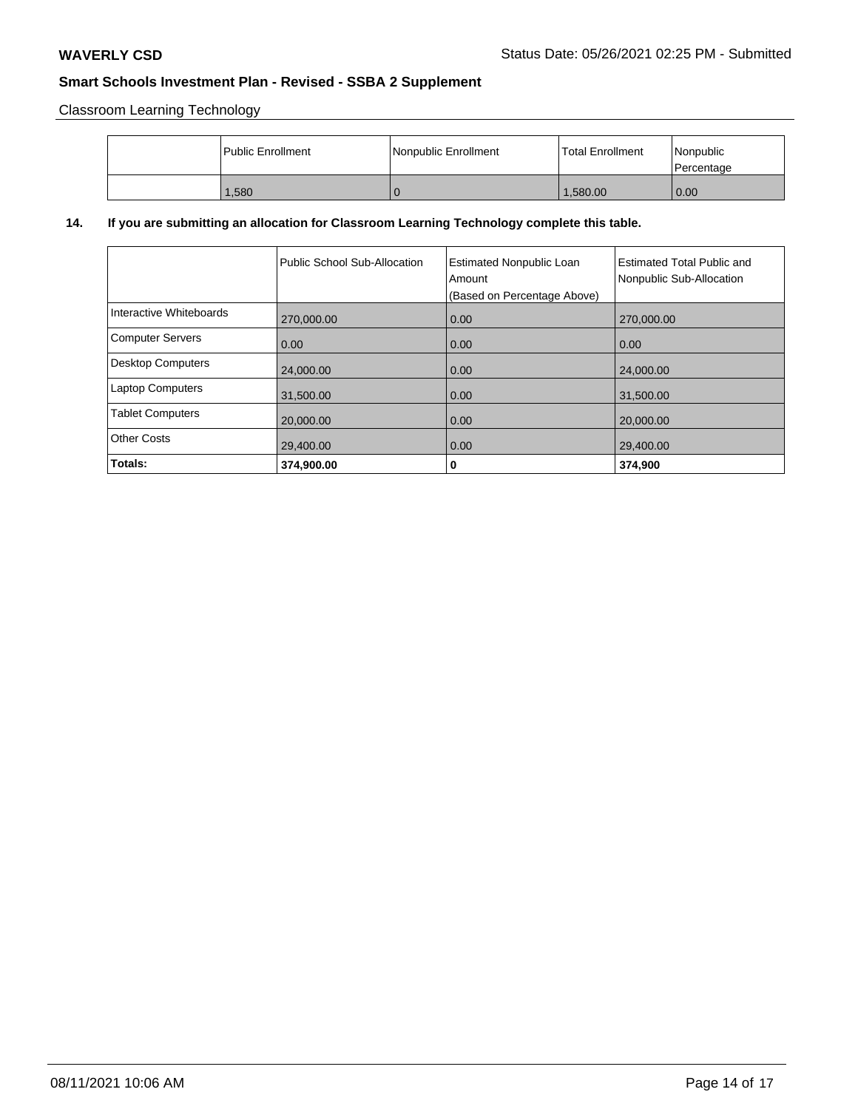Classroom Learning Technology

| l Public Enrollment | l Nonpublic Enrollment | <b>Total Enrollment</b> | Nonpublic<br>Percentage |
|---------------------|------------------------|-------------------------|-------------------------|
| 1.580               |                        | 1.580.00                | 0.00                    |

# **14. If you are submitting an allocation for Classroom Learning Technology complete this table.**

|                          | Public School Sub-Allocation | <b>Estimated Nonpublic Loan</b><br>Amount<br>(Based on Percentage Above) | <b>Estimated Total Public and</b><br>Nonpublic Sub-Allocation |
|--------------------------|------------------------------|--------------------------------------------------------------------------|---------------------------------------------------------------|
| Interactive Whiteboards  | 270,000.00                   | 0.00                                                                     | 270,000.00                                                    |
| Computer Servers         | 0.00                         | 0.00                                                                     | 0.00                                                          |
| <b>Desktop Computers</b> | 24,000.00                    | 0.00                                                                     | 24,000.00                                                     |
| Laptop Computers         | 31,500.00                    | 0.00                                                                     | 31,500.00                                                     |
| <b>Tablet Computers</b>  | 20,000.00                    | 0.00                                                                     | 20,000.00                                                     |
| Other Costs              | 29,400.00                    | 0.00                                                                     | 29,400.00                                                     |
| Totals:                  | 374.900.00                   | 0                                                                        | 374.900                                                       |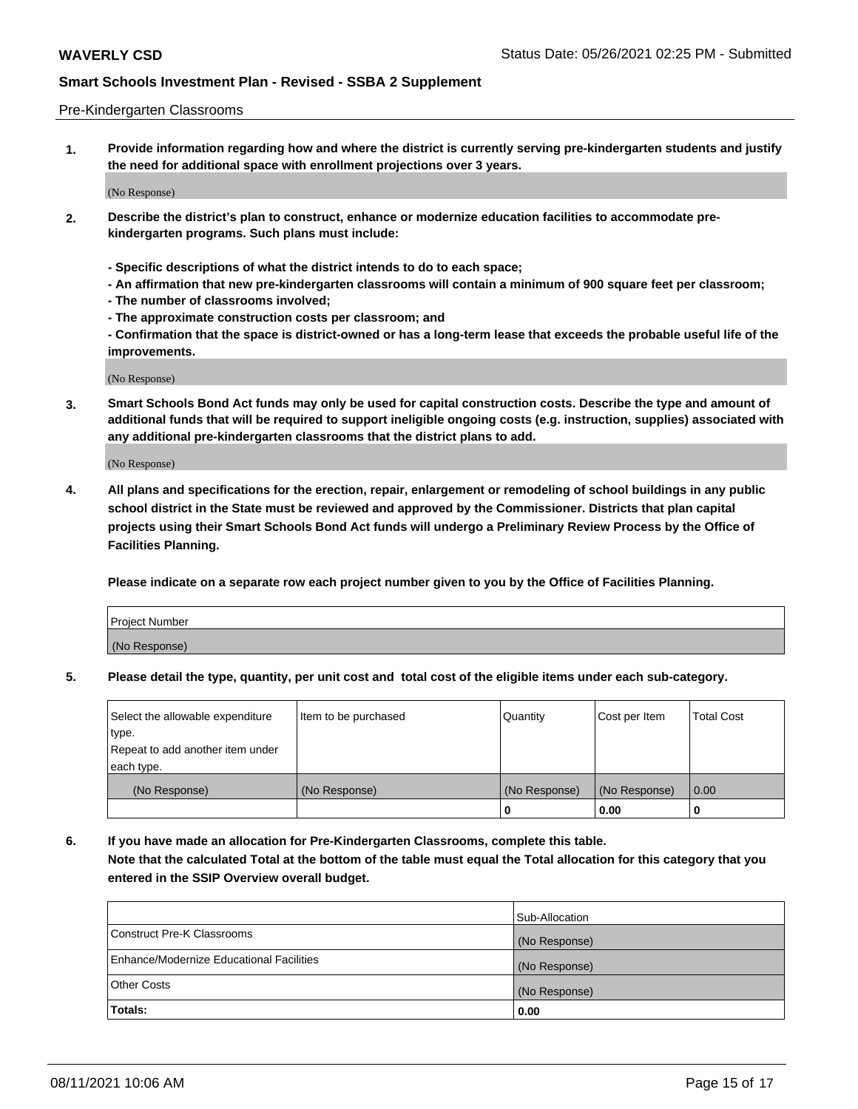#### Pre-Kindergarten Classrooms

**1. Provide information regarding how and where the district is currently serving pre-kindergarten students and justify the need for additional space with enrollment projections over 3 years.**

(No Response)

- **2. Describe the district's plan to construct, enhance or modernize education facilities to accommodate prekindergarten programs. Such plans must include:**
	- **Specific descriptions of what the district intends to do to each space;**
	- **An affirmation that new pre-kindergarten classrooms will contain a minimum of 900 square feet per classroom;**
	- **The number of classrooms involved;**
	- **The approximate construction costs per classroom; and**
	- **Confirmation that the space is district-owned or has a long-term lease that exceeds the probable useful life of the improvements.**

(No Response)

**3. Smart Schools Bond Act funds may only be used for capital construction costs. Describe the type and amount of additional funds that will be required to support ineligible ongoing costs (e.g. instruction, supplies) associated with any additional pre-kindergarten classrooms that the district plans to add.**

(No Response)

**4. All plans and specifications for the erection, repair, enlargement or remodeling of school buildings in any public school district in the State must be reviewed and approved by the Commissioner. Districts that plan capital projects using their Smart Schools Bond Act funds will undergo a Preliminary Review Process by the Office of Facilities Planning.**

**Please indicate on a separate row each project number given to you by the Office of Facilities Planning.**

| Project Number |  |
|----------------|--|
| (No Response)  |  |
|                |  |

**5. Please detail the type, quantity, per unit cost and total cost of the eligible items under each sub-category.**

| Select the allowable expenditure | Item to be purchased | Quantity      | Cost per Item | <b>Total Cost</b> |
|----------------------------------|----------------------|---------------|---------------|-------------------|
| type.                            |                      |               |               |                   |
| Repeat to add another item under |                      |               |               |                   |
| each type.                       |                      |               |               |                   |
| (No Response)                    | (No Response)        | (No Response) | (No Response) | 0.00              |
|                                  |                      | U             | 0.00          |                   |

**6. If you have made an allocation for Pre-Kindergarten Classrooms, complete this table. Note that the calculated Total at the bottom of the table must equal the Total allocation for this category that you entered in the SSIP Overview overall budget.**

| Totals:                                  | 0.00           |
|------------------------------------------|----------------|
| <b>Other Costs</b>                       | (No Response)  |
| Enhance/Modernize Educational Facilities | (No Response)  |
| Construct Pre-K Classrooms               | (No Response)  |
|                                          | Sub-Allocation |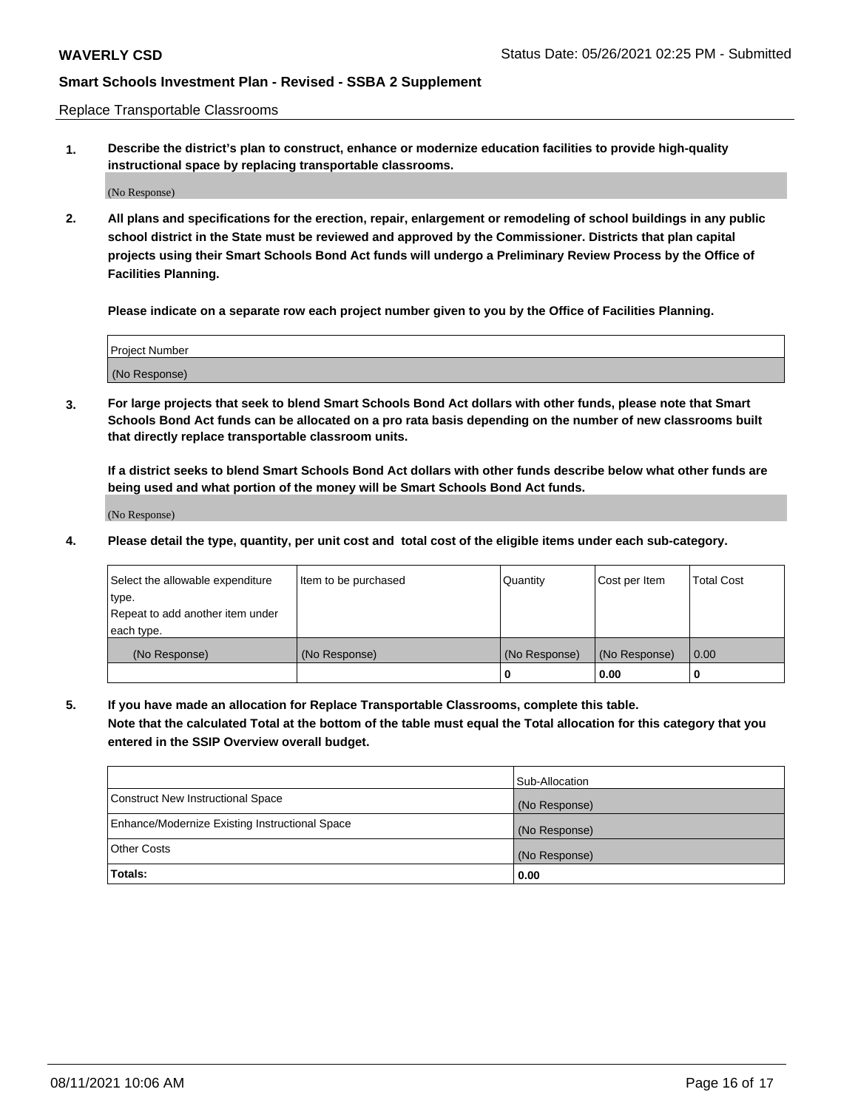Replace Transportable Classrooms

**1. Describe the district's plan to construct, enhance or modernize education facilities to provide high-quality instructional space by replacing transportable classrooms.**

(No Response)

**2. All plans and specifications for the erection, repair, enlargement or remodeling of school buildings in any public school district in the State must be reviewed and approved by the Commissioner. Districts that plan capital projects using their Smart Schools Bond Act funds will undergo a Preliminary Review Process by the Office of Facilities Planning.**

**Please indicate on a separate row each project number given to you by the Office of Facilities Planning.**

| Project Number |  |
|----------------|--|
|                |  |
|                |  |
|                |  |
| (No Response)  |  |
|                |  |
|                |  |

**3. For large projects that seek to blend Smart Schools Bond Act dollars with other funds, please note that Smart Schools Bond Act funds can be allocated on a pro rata basis depending on the number of new classrooms built that directly replace transportable classroom units.**

**If a district seeks to blend Smart Schools Bond Act dollars with other funds describe below what other funds are being used and what portion of the money will be Smart Schools Bond Act funds.**

(No Response)

**4. Please detail the type, quantity, per unit cost and total cost of the eligible items under each sub-category.**

| Select the allowable expenditure | Item to be purchased | Quantity      | Cost per Item | Total Cost |
|----------------------------------|----------------------|---------------|---------------|------------|
| ∣type.                           |                      |               |               |            |
| Repeat to add another item under |                      |               |               |            |
| each type.                       |                      |               |               |            |
| (No Response)                    | (No Response)        | (No Response) | (No Response) | 0.00       |
|                                  |                      | u             | 0.00          |            |

**5. If you have made an allocation for Replace Transportable Classrooms, complete this table. Note that the calculated Total at the bottom of the table must equal the Total allocation for this category that you entered in the SSIP Overview overall budget.**

|                                                | Sub-Allocation |
|------------------------------------------------|----------------|
| Construct New Instructional Space              | (No Response)  |
| Enhance/Modernize Existing Instructional Space | (No Response)  |
| Other Costs                                    | (No Response)  |
| Totals:                                        | 0.00           |